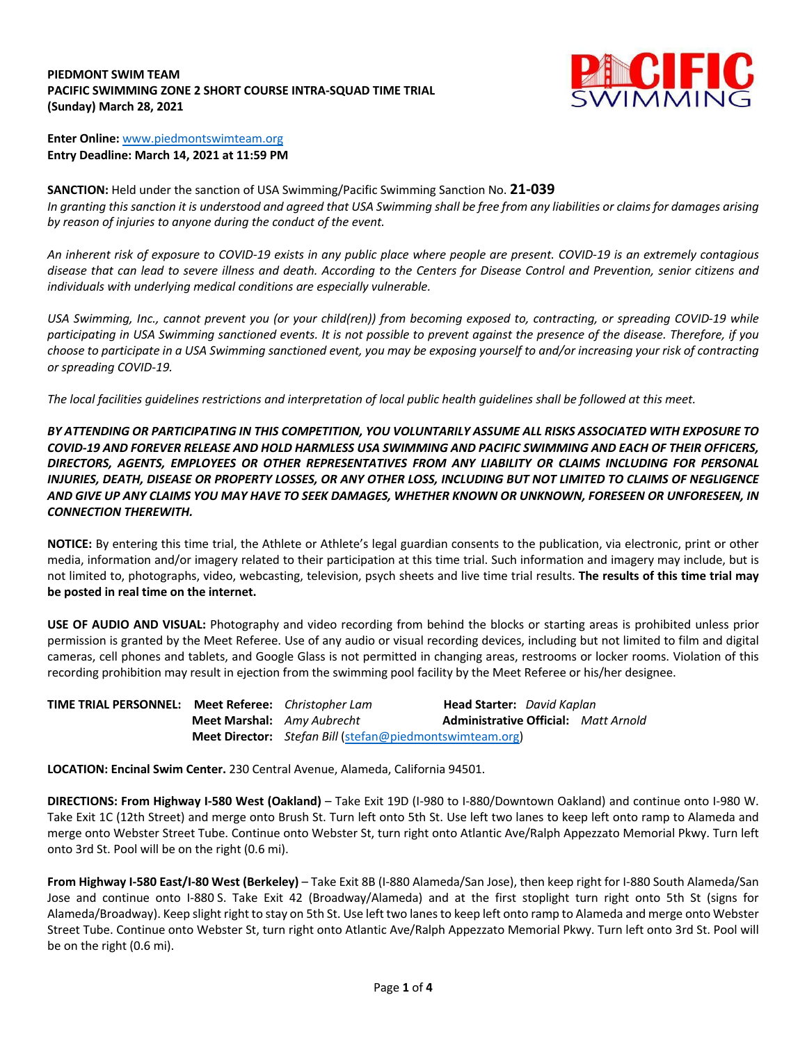## **PIEDMONT SWIM TEAM PACIFIC SWIMMING ZONE 2 SHORT COURSE INTRA-SQUAD TIME TRIAL (Sunday) March 28, 2021**



**Enter Online:** www.piedmontswimteam.org **Entry Deadline: March 14, 2021 at 11:59 PM**

**SANCTION:** Held under the sanction of USA Swimming/Pacific Swimming Sanction No. **21-039** *In granting this sanction it is understood and agreed that USA Swimming shall be free from any liabilities or claims for damages arising by reason of injuries to anyone during the conduct of the event.*

*An inherent risk of exposure to COVID-19 exists in any public place where people are present. COVID-19 is an extremely contagious disease that can lead to severe illness and death. According to the Centers for Disease Control and Prevention, senior citizens and individuals with underlying medical conditions are especially vulnerable.*

*USA Swimming, Inc., cannot prevent you (or your child(ren)) from becoming exposed to, contracting, or spreading COVID-19 while participating in USA Swimming sanctioned events. It is not possible to prevent against the presence of the disease. Therefore, if you choose to participate in a USA Swimming sanctioned event, you may be exposing yourself to and/or increasing your risk of contracting or spreading COVID-19.*

*The local facilities guidelines restrictions and interpretation of local public health guidelines shall be followed at this meet.*

*BY ATTENDING OR PARTICIPATING IN THIS COMPETITION, YOU VOLUNTARILY ASSUME ALL RISKS ASSOCIATED WITH EXPOSURE TO COVID-19 AND FOREVER RELEASE AND HOLD HARMLESS USA SWIMMING AND PACIFIC SWIMMING AND EACH OF THEIR OFFICERS, DIRECTORS, AGENTS, EMPLOYEES OR OTHER REPRESENTATIVES FROM ANY LIABILITY OR CLAIMS INCLUDING FOR PERSONAL INJURIES, DEATH, DISEASE OR PROPERTY LOSSES, OR ANY OTHER LOSS, INCLUDING BUT NOT LIMITED TO CLAIMS OF NEGLIGENCE AND GIVE UP ANY CLAIMS YOU MAY HAVE TO SEEK DAMAGES, WHETHER KNOWN OR UNKNOWN, FORESEEN OR UNFORESEEN, IN CONNECTION THEREWITH.*

**NOTICE:** By entering this time trial, the Athlete or Athlete's legal guardian consents to the publication, via electronic, print or other media, information and/or imagery related to their participation at this time trial. Such information and imagery may include, but is not limited to, photographs, video, webcasting, television, psych sheets and live time trial results. **The results of this time trial may be posted in real time on the internet.**

**USE OF AUDIO AND VISUAL:** Photography and video recording from behind the blocks or starting areas is prohibited unless prior permission is granted by the Meet Referee. Use of any audio or visual recording devices, including but not limited to film and digital cameras, cell phones and tablets, and Google Glass is not permitted in changing areas, restrooms or locker rooms. Violation of this recording prohibition may result in ejection from the swimming pool facility by the Meet Referee or his/her designee.

**TIME TRIAL PERSONNEL: Meet Referee:** *Christopher Lam* **Head Starter:** *David Kaplan* **Meet Marshal:** *Amy Aubrecht* **Administrative Official:** *Matt Arnold* **Meet Director:** *Stefan Bill* (stefan@piedmontswimteam.org)

**LOCATION: Encinal Swim Center.** 230 Central Avenue, Alameda, California 94501.

**DIRECTIONS: From Highway I-580 West (Oakland)** – Take Exit 19D (I-980 to I-880/Downtown Oakland) and continue onto I-980 W. Take Exit 1C (12th Street) and merge onto Brush St. Turn left onto 5th St. Use left two lanes to keep left onto ramp to Alameda and merge onto Webster Street Tube. Continue onto Webster St, turn right onto Atlantic Ave/Ralph Appezzato Memorial Pkwy. Turn left onto 3rd St. Pool will be on the right (0.6 mi).

**From Highway I-580 East/I-80 West (Berkeley)** – Take Exit 8B (I-880 Alameda/San Jose), then keep right for I-880 South Alameda/San Jose and continue onto I-880 S. Take Exit 42 (Broadway/Alameda) and at the first stoplight turn right onto 5th St (signs for Alameda/Broadway). Keep slight right to stay on 5th St. Use left two lanes to keep left onto ramp to Alameda and merge onto Webster Street Tube. Continue onto Webster St, turn right onto Atlantic Ave/Ralph Appezzato Memorial Pkwy. Turn left onto 3rd St. Pool will be on the right (0.6 mi).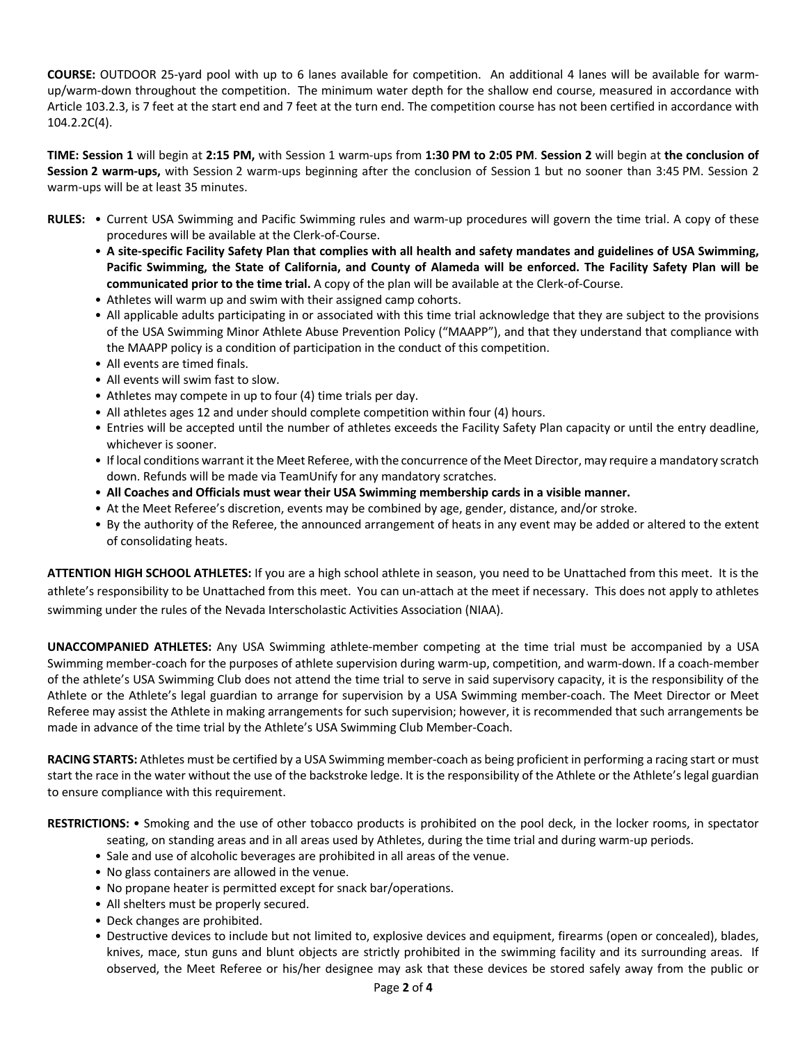**COURSE:** OUTDOOR 25-yard pool with up to 6 lanes available for competition. An additional 4 lanes will be available for warmup/warm-down throughout the competition. The minimum water depth for the shallow end course, measured in accordance with Article 103.2.3, is 7 feet at the start end and 7 feet at the turn end. The competition course has not been certified in accordance with 104.2.2C(4).

**TIME: Session 1** will begin at **2:15 PM,** with Session 1 warm-ups from **1:30 PM to 2:05 PM**. **Session 2** will begin at **the conclusion of Session 2 warm-ups,** with Session 2 warm-ups beginning after the conclusion of Session 1 but no sooner than 3:45 PM. Session 2 warm-ups will be at least 35 minutes.

- **RULES:** Current USA Swimming and Pacific Swimming rules and warm-up procedures will govern the time trial. A copy of these procedures will be available at the Clerk-of-Course.
	- **A site-specific Facility Safety Plan that complies with all health and safety mandates and guidelines of USA Swimming, Pacific Swimming, the State of California, and County of Alameda will be enforced. The Facility Safety Plan will be communicated prior to the time trial.** A copy of the plan will be available at the Clerk-of-Course.
	- Athletes will warm up and swim with their assigned camp cohorts.
	- All applicable adults participating in or associated with this time trial acknowledge that they are subject to the provisions of the USA Swimming Minor Athlete Abuse Prevention Policy ("MAAPP"), and that they understand that compliance with the MAAPP policy is a condition of participation in the conduct of this competition.
	- All events are timed finals.
	- All events will swim fast to slow.
	- Athletes may compete in up to four (4) time trials per day.
	- All athletes ages 12 and under should complete competition within four (4) hours.
	- Entries will be accepted until the number of athletes exceeds the Facility Safety Plan capacity or until the entry deadline, whichever is sooner.
	- If local conditions warrant it the Meet Referee, with the concurrence of the Meet Director, may require a mandatory scratch down. Refunds will be made via TeamUnify for any mandatory scratches.
	- **All Coaches and Officials must wear their USA Swimming membership cards in a visible manner.**
	- At the Meet Referee's discretion, events may be combined by age, gender, distance, and/or stroke.
	- By the authority of the Referee, the announced arrangement of heats in any event may be added or altered to the extent of consolidating heats.

**ATTENTION HIGH SCHOOL ATHLETES:** If you are a high school athlete in season, you need to be Unattached from this meet. It is the athlete's responsibility to be Unattached from this meet. You can un-attach at the meet if necessary. This does not apply to athletes swimming under the rules of the Nevada Interscholastic Activities Association (NIAA).

**UNACCOMPANIED ATHLETES:** Any USA Swimming athlete-member competing at the time trial must be accompanied by a USA Swimming member-coach for the purposes of athlete supervision during warm-up, competition, and warm-down. If a coach-member of the athlete's USA Swimming Club does not attend the time trial to serve in said supervisory capacity, it is the responsibility of the Athlete or the Athlete's legal guardian to arrange for supervision by a USA Swimming member-coach. The Meet Director or Meet Referee may assist the Athlete in making arrangements for such supervision; however, it is recommended that such arrangements be made in advance of the time trial by the Athlete's USA Swimming Club Member-Coach.

**RACING STARTS:** Athletes must be certified by a USA Swimming member-coach as being proficient in performing a racing start or must start the race in the water without the use of the backstroke ledge. It is the responsibility of the Athlete or the Athlete's legal guardian to ensure compliance with this requirement.

**RESTRICTIONS:** • Smoking and the use of other tobacco products is prohibited on the pool deck, in the locker rooms, in spectator

- seating, on standing areas and in all areas used by Athletes, during the time trial and during warm-up periods.
- Sale and use of alcoholic beverages are prohibited in all areas of the venue.
- No glass containers are allowed in the venue.
- No propane heater is permitted except for snack bar/operations.
- All shelters must be properly secured.
- Deck changes are prohibited.
- Destructive devices to include but not limited to, explosive devices and equipment, firearms (open or concealed), blades, knives, mace, stun guns and blunt objects are strictly prohibited in the swimming facility and its surrounding areas. If observed, the Meet Referee or his/her designee may ask that these devices be stored safely away from the public or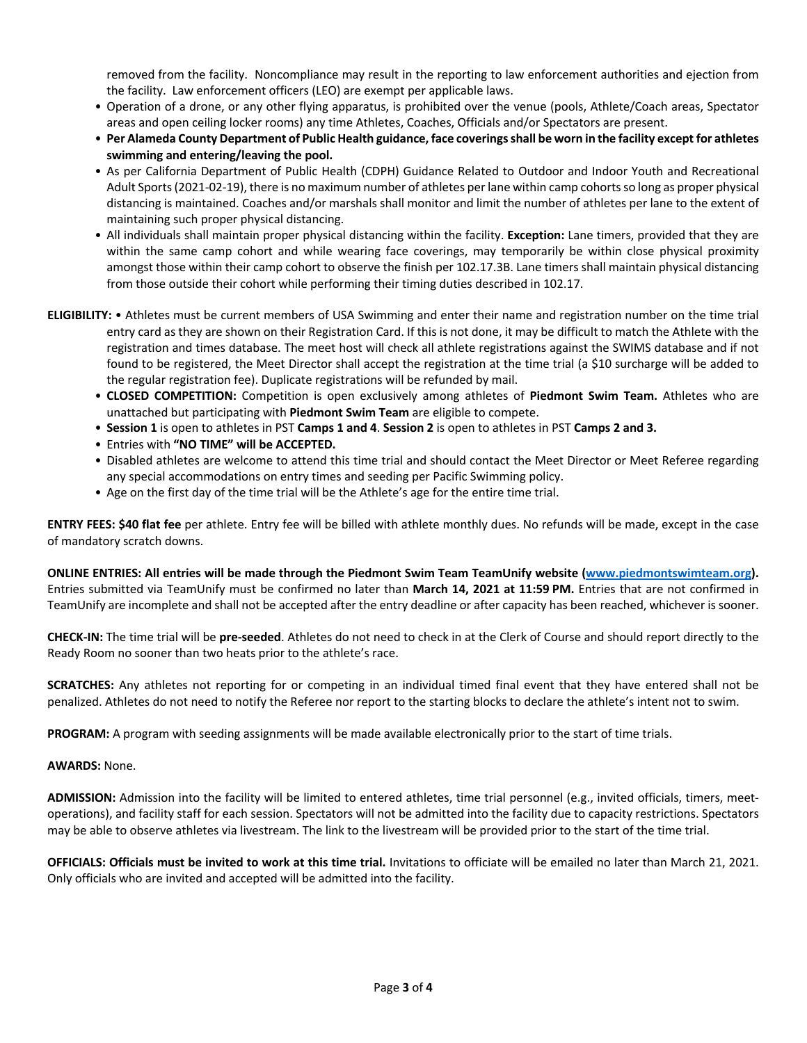removed from the facility. Noncompliance may result in the reporting to law enforcement authorities and ejection from the facility. Law enforcement officers (LEO) are exempt per applicable laws.

- Operation of a drone, or any other flying apparatus, is prohibited over the venue (pools, Athlete/Coach areas, Spectator areas and open ceiling locker rooms) any time Athletes, Coaches, Officials and/or Spectators are present.
- **Per Alameda County Department of Public Health guidance, face coverings shall be worn in the facility except for athletes swimming and entering/leaving the pool.**
- As per California Department of Public Health (CDPH) Guidance Related to Outdoor and Indoor Youth and Recreational Adult Sports (2021-02-19), there is no maximum number of athletes per lane within camp cohorts so long as proper physical distancing is maintained. Coaches and/or marshals shall monitor and limit the number of athletes per lane to the extent of maintaining such proper physical distancing.
- All individuals shall maintain proper physical distancing within the facility. **Exception:** Lane timers, provided that they are within the same camp cohort and while wearing face coverings, may temporarily be within close physical proximity amongst those within their camp cohort to observe the finish per 102.17.3B. Lane timers shall maintain physical distancing from those outside their cohort while performing their timing duties described in 102.17.
- **ELIGIBILITY:** Athletes must be current members of USA Swimming and enter their name and registration number on the time trial entry card as they are shown on their Registration Card. If this is not done, it may be difficult to match the Athlete with the registration and times database. The meet host will check all athlete registrations against the SWIMS database and if not found to be registered, the Meet Director shall accept the registration at the time trial (a \$10 surcharge will be added to the regular registration fee). Duplicate registrations will be refunded by mail.
	- **CLOSED COMPETITION:** Competition is open exclusively among athletes of **Piedmont Swim Team.** Athletes who are unattached but participating with **Piedmont Swim Team** are eligible to compete.
	- **Session 1** is open to athletes in PST **Camps 1 and 4**. **Session 2** is open to athletes in PST **Camps 2 and 3.**
	- Entries with **"NO TIME" will be ACCEPTED.**
	- Disabled athletes are welcome to attend this time trial and should contact the Meet Director or Meet Referee regarding any special accommodations on entry times and seeding per Pacific Swimming policy.
	- Age on the first day of the time trial will be the Athlete's age for the entire time trial.

**ENTRY FEES: \$40 flat fee** per athlete. Entry fee will be billed with athlete monthly dues. No refunds will be made, except in the case of mandatory scratch downs.

**ONLINE ENTRIES: All entries will be made through the Piedmont Swim Team TeamUnify website (www.piedmontswimteam.org).**  Entries submitted via TeamUnify must be confirmed no later than **March 14, 2021 at 11:59 PM.** Entries that are not confirmed in TeamUnify are incomplete and shall not be accepted after the entry deadline or after capacity has been reached, whichever is sooner.

**CHECK-IN:** The time trial will be **pre-seeded**. Athletes do not need to check in at the Clerk of Course and should report directly to the Ready Room no sooner than two heats prior to the athlete's race.

**SCRATCHES:** Any athletes not reporting for or competing in an individual timed final event that they have entered shall not be penalized. Athletes do not need to notify the Referee nor report to the starting blocks to declare the athlete's intent not to swim.

**PROGRAM:** A program with seeding assignments will be made available electronically prior to the start of time trials.

## **AWARDS:** None.

**ADMISSION:** Admission into the facility will be limited to entered athletes, time trial personnel (e.g., invited officials, timers, meetoperations), and facility staff for each session. Spectators will not be admitted into the facility due to capacity restrictions. Spectators may be able to observe athletes via livestream. The link to the livestream will be provided prior to the start of the time trial.

**OFFICIALS: Officials must be invited to work at this time trial.** Invitations to officiate will be emailed no later than March 21, 2021. Only officials who are invited and accepted will be admitted into the facility.